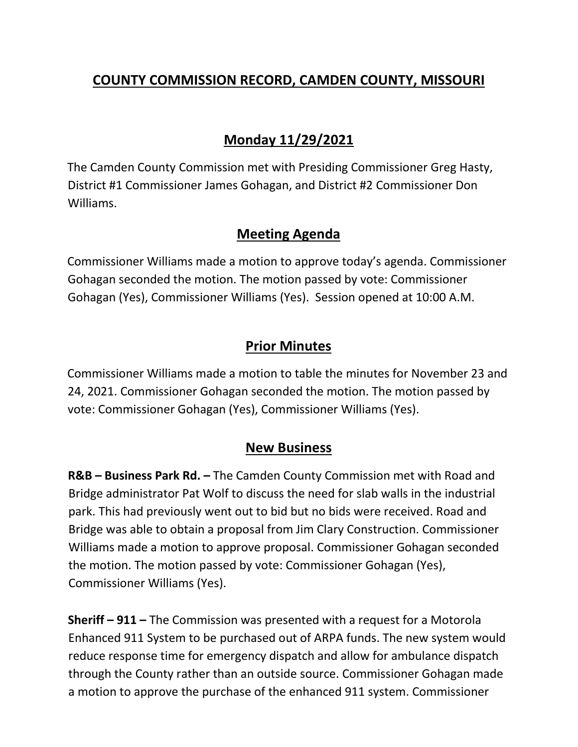# **COUNTY COMMISSION RECORD, CAMDEN COUNTY, MISSOURI**

# **Monday 11/29/2021**

The Camden County Commission met with Presiding Commissioner Greg Hasty, District #1 Commissioner James Gohagan, and District #2 Commissioner Don Williams.

### **Meeting Agenda**

Commissioner Williams made a motion to approve today's agenda. Commissioner Gohagan seconded the motion. The motion passed by vote: Commissioner Gohagan (Yes), Commissioner Williams (Yes). Session opened at 10:00 A.M.

## **Prior Minutes**

Commissioner Williams made a motion to table the minutes for November 23 and 24, 2021. Commissioner Gohagan seconded the motion. The motion passed by vote: Commissioner Gohagan (Yes), Commissioner Williams (Yes).

## **New Business**

**R&B – Business Park Rd. –** The Camden County Commission met with Road and Bridge administrator Pat Wolf to discuss the need for slab walls in the industrial park. This had previously went out to bid but no bids were received. Road and Bridge was able to obtain a proposal from Jim Clary Construction. Commissioner Williams made a motion to approve proposal. Commissioner Gohagan seconded the motion. The motion passed by vote: Commissioner Gohagan (Yes), Commissioner Williams (Yes).

**Sheriff – 911 –** The Commission was presented with a request for a Motorola Enhanced 911 System to be purchased out of ARPA funds. The new system would reduce response time for emergency dispatch and allow for ambulance dispatch through the County rather than an outside source. Commissioner Gohagan made a motion to approve the purchase of the enhanced 911 system. Commissioner